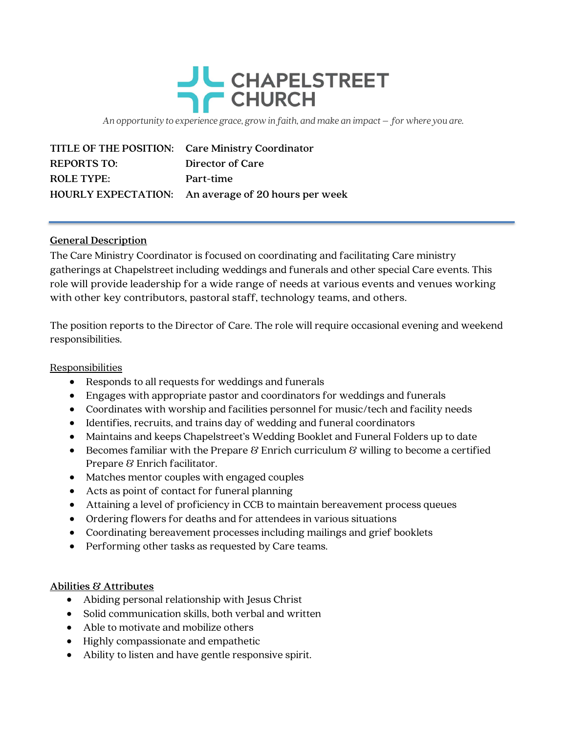## JU CHAPELSTREET **CHURCH**

An opportunity to experience grace, grow in faith, and make an impact – for where you are.

|                    | TITLE OF THE POSITION: Care Ministry Coordinator    |
|--------------------|-----------------------------------------------------|
| <b>REPORTS TO:</b> | Director of Care                                    |
| <b>ROLE TYPE:</b>  | Part-time                                           |
|                    | HOURLY EXPECTATION: An average of 20 hours per week |

## General Description

The Care Ministry Coordinator is focused on coordinating and facilitating Care ministry gatherings at Chapelstreet including weddings and funerals and other special Care events. This role will provide leadership for a wide range of needs at various events and venues working with other key contributors, pastoral staff, technology teams, and others.

The position reports to the Director of Care. The role will require occasional evening and weekend responsibilities.

## Responsibilities

- Responds to all requests for weddings and funerals
- Engages with appropriate pastor and coordinators for weddings and funerals
- Coordinates with worship and facilities personnel for music/tech and facility needs
- Identifies, recruits, and trains day of wedding and funeral coordinators
- Maintains and keeps Chapelstreet's Wedding Booklet and Funeral Folders up to date
- **Becomes familiar with the Prepare**  $\mathcal{B}$  **Enrich curriculum**  $\mathcal{B}$  **willing to become a certified** Prepare & Enrich facilitator.
- Matches mentor couples with engaged couples
- Acts as point of contact for funeral planning
- Attaining a level of proficiency in CCB to maintain bereavement process queues
- Ordering flowers for deaths and for attendees in various situations
- Coordinating bereavement processes including mailings and grief booklets
- Performing other tasks as requested by Care teams.

## Abilities & Attributes

- Abiding personal relationship with Jesus Christ
- Solid communication skills, both verbal and written
- Able to motivate and mobilize others
- Highly compassionate and empathetic
- Ability to listen and have gentle responsive spirit.